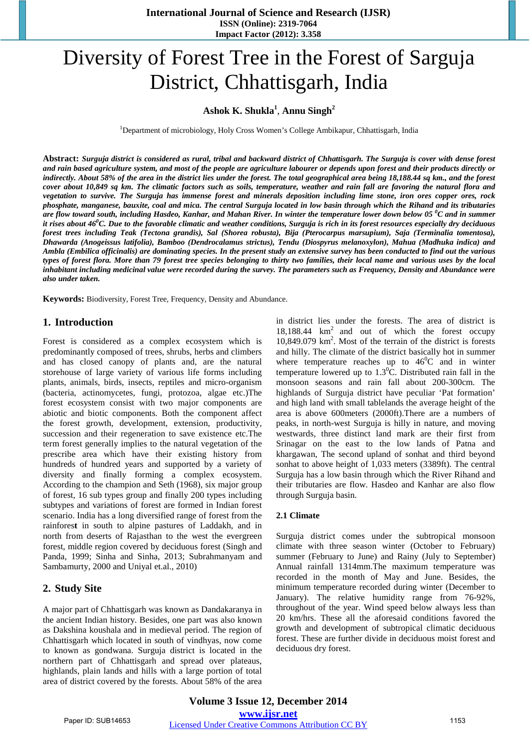**International Journal of Science and Research (IJSR) ISSN (Online): 2319-7064 Impact Factor (2012): 3.358**

# Diversity of Forest Tree in the Forest of Sarguja District, Chhattisgarh, India

## **Ashok K. Shukla<sup>1</sup>** , **Annu Singh<sup>2</sup>**

<sup>1</sup>Department of microbiology, Holy Cross Women's College Ambikapur, Chhattisgarh, India

**Abstract:** *Surguja district is considered as rural, tribal and backward district of Chhattisgarh. The Surguja is cover with dense forest and rain based agriculture system, and most of the people are agriculture labourer or depends upon forest and their products directly or indirectly. About 58% of the area in the district lies under the forest. The total geographical area being 18,188.44 sq km., and the forest cover about 10,849 sq km. The climatic factors such as soils, temperature, weather and rain fall are favoring the natural flora and vegetation to survive. The Surguja has immense forest and minerals deposition including lime stone, iron ores copper ores, rock phosphate, manganese, bauxite, coal and mica. The central Surguja located in low basin through which the Rihand and its tributaries are flow toward south, including Hasdeo, Kanhar, and Mahan River. In winter the temperature lower down below 05 <sup>0</sup> C and in summer it rises about 46<sup>0</sup> C. Due to the favorable climatic and weather conditions, Surguja is rich in its forest resources especially dry deciduous forest trees including Teak (Tectona grandis), Sal (Shorea robusta), Bija (Pterocarpus marsupium), Saja (Terminalia tomentosa), Dhawarda (Anogeissus latifolia), Bamboo (Dendrocalamus strictus), Tendu (Diospyrus melanoxylon), Mahua (Madhuka indica) and Ambla (Embilica officinalis) are dominating species. In the present study an extensive survey has been conducted to find out the various types of forest flora. More than 79 forest tree species belonging to thirty two families, their local name and various uses by the local inhabitant including medicinal value were recorded during the survey. The parameters such as Frequency, Density and Abundance were also under taken.*

**Keywords:** Biodiversity, Forest Tree, Frequency, Density and Abundance.

#### **1. Introduction**

Forest is considered as a complex ecosystem which is predominantly composed of trees, shrubs, herbs and climbers and has closed canopy of plants and, are the natural storehouse of large variety of various life forms including plants, animals, birds, insects, reptiles and micro-organism (bacteria, actinomycetes, fungi, protozoa, algae etc.)The forest ecosystem consist with two major components are abiotic and biotic components. Both the component affect the forest growth, development, extension, productivity, succession and their regeneration to save existence etc.The term forest generally implies to the natural vegetation of the prescribe area which have their existing history from hundreds of hundred years and supported by a variety of diversity and finally forming a complex ecosystem. According to the champion and Seth (1968), six major group of forest, 16 sub types group and finally 200 types including subtypes and variations of forest are formed in Indian forest scenario. India has a long diversified range of forest from the rainfores**t** in south to alpine pastures of Laddakh, and in north from deserts of Rajasthan to the west the evergreen forest, middle region covered by deciduous forest (Singh and Panda, 1999; Sinha and Sinha, 2013; Subrahmanyam and Sambamurty, 2000 and Uniyal et.al., 2010)

#### **2. Study Site**

A major part of Chhattisgarh was known as Dandakaranya in the ancient Indian history. Besides, one part was also known as Dakshina koushala and in medieval period. The region of Chhattisgarh which located in south of vindhyas, now come to known as gondwana. Surguja district is located in the northern part of Chhattisgarh and spread over plateaus, highlands, plain lands and hills with a large portion of total area of district covered by the forests. About 58% of the area

in district lies under the forests. The area of district is  $18,188.44 \text{ km}^2$  and out of which the forest occupy 10,849.079 km2 . Most of the terrain of the district is forests and hilly. The climate of the district basically hot in summer where temperature reaches up to  $46^{\circ}$ C and in winter temperature lowered up to  $1.3^{\circ}$ C. Distributed rain fall in the monsoon seasons and rain fall about 200-300cm. The highlands of Surguja district have peculiar 'Pat formation' and high land with small tablelands the average height of the area is above 600meters (2000ft).There are a numbers of peaks, in north-west Surguja is hilly in nature, and moving westwards, three distinct land mark are their first from Srinagar on the east to the low lands of Patna and khargawan, The second upland of sonhat and third beyond sonhat to above height of 1,033 meters (3389ft). The central Surguja has a low basin through which the River Rihand and their tributaries are flow. Hasdeo and Kanhar are also flow through Surguja basin.

#### **2.1 Climate**

Surguja district comes under the subtropical monsoon climate with three season winter (October to February) summer (February to June) and Rainy (July to September) Annual rainfall 1314mm.The maximum temperature was recorded in the month of May and June. Besides, the minimum temperature recorded during winter (December to January). The relative humidity range from 76-92%, throughout of the year. Wind speed below always less than 20 km/hrs. These all the aforesaid conditions favored the growth and development of subtropical climatic deciduous forest. These are further divide in deciduous moist forest and deciduous dry forest.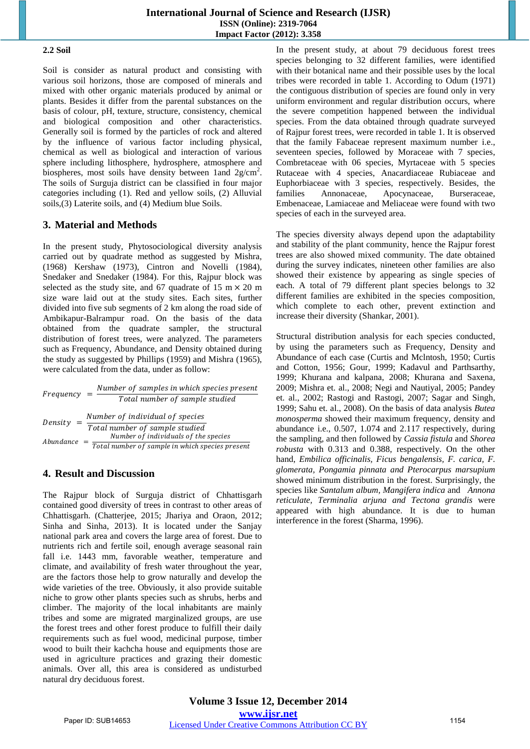#### **2.2 Soil**

Soil is consider as natural product and consisting with various soil horizons, those are composed of minerals and mixed with other organic materials produced by animal or plants. Besides it differ from the parental substances on the basis of colour, pH, texture, structure, consistency, chemical and biological composition and other characteristics. Generally soil is formed by the particles of rock and altered by the influence of various factor including physical, chemical as well as biological and interaction of various sphere including lithosphere, hydrosphere, atmosphere and biospheres, most soils have density between 1and  $2g/cm^2$ . The soils of Surguja district can be classified in four major categories including (1). Red and yellow soils, (2) Alluvial soils,(3) Laterite soils, and (4) Medium blue Soils.

# **3. Material and Methods**

In the present study, Phytosociological diversity analysis carried out by quadrate method as suggested by Mishra, (1968) Kershaw (1973), Cintron and Novelli (1984), Snedaker and Snedaker (1984). For this, Rajpur block was selected as the study site, and 67 quadrate of 15 m  $\times$  20 m size ware laid out at the study sites. Each sites, further divided into five sub segments of 2 km along the road side of Ambikapur-Balrampur road. On the basis of the data obtained from the quadrate sampler, the structural distribution of forest trees, were analyzed. The parameters such as Frequency, Abundance, and Density obtained during the study as suggested by Phillips (1959) and Mishra (1965), were calculated from the data, under as follow:

|                      | Number of samples in which species present                             |
|----------------------|------------------------------------------------------------------------|
| Frequency            | Total number of sample studied                                         |
| Densitv<br>Abundance | Number of individual of species                                        |
|                      | Total number of sample studied<br>Number of individuals of the species |
|                      | Total number of sample in which species present                        |

# **4. Result and Discussion**

The Rajpur block of Surguja district of Chhattisgarh contained good diversity of trees in contrast to other areas of Chhattisgarh. (Chatterjee, 2015; Jhariya and Oraon, 2012; Sinha and Sinha, 2013). It is located under the Sanjay national park area and covers the large area of forest. Due to nutrients rich and fertile soil, enough average seasonal rain fall i.e. 1443 mm, favorable weather, temperature and climate, and availability of fresh water throughout the year, are the factors those help to grow naturally and develop the wide varieties of the tree. Obviously, it also provide suitable niche to grow other plants species such as shrubs, herbs and climber. The majority of the local inhabitants are mainly tribes and some are migrated marginalized groups, are use the forest trees and other forest produce to fulfill their daily requirements such as fuel wood, medicinal purpose, timber wood to built their kachcha house and equipments those are used in agriculture practices and grazing their domestic animals. Over all, this area is considered as undisturbed natural dry deciduous forest.

In the present study, at about 79 deciduous forest trees species belonging to 32 different families, were identified with their botanical name and their possible uses by the local tribes were recorded in table 1. According to Odum (1971) the contiguous distribution of species are found only in very uniform environment and regular distribution occurs, where the severe competition happened between the individual species. From the data obtained through quadrate surveyed of Rajpur forest trees, were recorded in table 1. It is observed that the family Fabaceae represent maximum number i.e., seventeen species, followed by Moraceae with 7 species, Combretaceae with 06 species, Myrtaceae with 5 species Rutaceae with 4 species, Anacardiaceae Rubiaceae and Euphorbiaceae with 3 species, respectively. Besides, the families Annonaceae, Apocynaceae, Burseraceae, Embenaceae, Lamiaceae and Meliaceae were found with two species of each in the surveyed area.

The species diversity always depend upon the adaptability and stability of the plant community, hence the Rajpur forest trees are also showed mixed community. The date obtained during the survey indicates, nineteen other families are also showed their existence by appearing as single species of each. A total of 79 different plant species belongs to 32 different families are exhibited in the species composition, which complete to each other, prevent extinction and increase their diversity (Shankar, 2001).

Structural distribution analysis for each species conducted, by using the parameters such as Frequency, Density and Abundance of each case (Curtis and Mclntosh, 1950; Curtis and Cotton, 1956; Gour, 1999; Kadavul and Parthsarthy, 1999; Khurana and kalpana, 2008; Khurana and Saxena, 2009; Mishra et. al., 2008; Negi and Nautiyal, 2005; Pandey et. al., 2002; Rastogi and Rastogi, 2007; Sagar and Singh, 1999; Sahu et. al., 2008). On the basis of data analysis *Butea monosperma* showed their maximum frequency, density and abundance i.e., 0.507, 1.074 and 2.117 respectively, during the sampling, and then followed by *Cassia fistula* and *Shorea robusta* with 0.313 and 0.388, respectively. On the other hand, *Embilica officinalis, Ficus bengalensis, F. carica, F. glomerata, Pongamia pinnata and Pterocarpus marsupium* showed minimum distribution in the forest. Surprisingly, the species like *Santalum album, Mangifera indica* and *Annona reticulate, Terminalia arjuna and Tectona grandis* were appeared with high abundance. It is due to human interference in the forest (Sharma, 1996).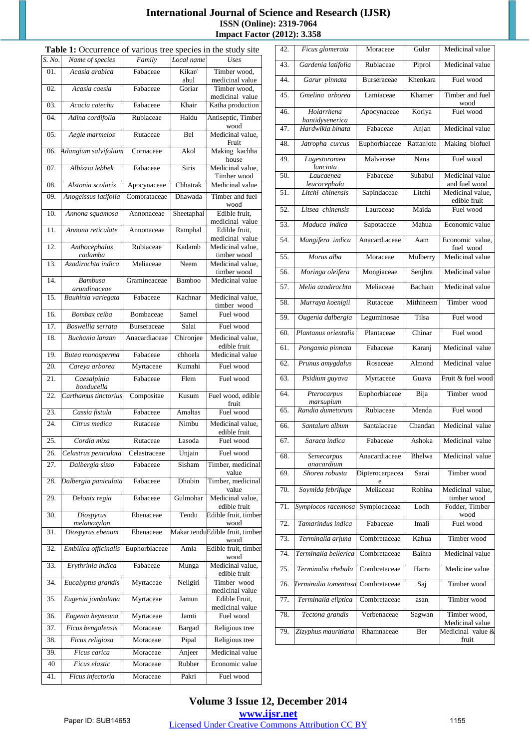#### **International Journal of Science and Research (IJSR) ISSN (Online): 2319-7064 Impact Factor (2012): 3.358**

| Table 1: Occurrence of various tree species in the study site |                                |               |                |                                         |  |  |  |  |
|---------------------------------------------------------------|--------------------------------|---------------|----------------|-----------------------------------------|--|--|--|--|
| S. No.                                                        | Name of species                | Family        | Local name     | Uses                                    |  |  |  |  |
| 01.                                                           | Acasia arabica                 | Fabaceae      | Kikar/<br>abul | Timber wood,<br>medicinal value         |  |  |  |  |
| 02.                                                           | Acasia caesia                  | Fabaceae      | Goriar         | Timber wood,<br>medicinal value         |  |  |  |  |
| 03.                                                           | Acacia catechu                 | Fabaceae      | Khair          | Katha production                        |  |  |  |  |
| 04.                                                           | Adina cordifolia               | Rubiaceae     | Haldu          | Antiseptic, Timber<br>wood              |  |  |  |  |
| 05.                                                           | Aegle marmelos                 | Rutaceae      | Bel            | Medicinal value,<br>Fruit               |  |  |  |  |
| 06.                                                           | Ailangium salvifolium          | Cornaceae     | Akol           | Making kachha<br>house                  |  |  |  |  |
| 07.                                                           | Albizzia lebbek                | Fabaceae      | <b>Siris</b>   | Medicinal value,<br>Timber wood         |  |  |  |  |
| 08.                                                           | Alstonia scolaris              | Apocynaceae   | Chhatrak       | Medicinal value                         |  |  |  |  |
| 09.                                                           | Anogeissus latifolia           | Combrataceae  | Dhawada        | Timber and fuel<br>wood                 |  |  |  |  |
| 10.                                                           | Annona squamosa                | Annonaceae    | Sheetaphal     | Edible fruit,<br>medicinal value        |  |  |  |  |
| 11.                                                           | Annona reticulate              | Annonaceae    | Ramphal        | Edible fruit.<br>medicinal value        |  |  |  |  |
| 12.                                                           | Anthocephalus<br>cadamba       | Rubiaceae     | Kadamb         | Medicinal value,<br>timber wood         |  |  |  |  |
| 13.                                                           | Azadirachta indica             | Meliaceae     | Neem           | Medicinal value.<br>timber wood         |  |  |  |  |
| 14.                                                           | <b>Bambusa</b><br>arundinaceae | Gramineaceae  | Bamboo         | Medicinal value                         |  |  |  |  |
| 15.                                                           | Bauhinia variegata             | Fabaceae      | Kachnar        | Medicinal value,<br>timber wood         |  |  |  |  |
| 16.                                                           | Bombax ceiba                   | Bombaceae     | Samel          | Fuel wood                               |  |  |  |  |
| 17.                                                           | Boswellia serrata              | Burseraceae   | Salai          | Fuel wood                               |  |  |  |  |
| 18.                                                           | Buchania lanzan                | Anacardiaceae | Chironjee      | Medicinal value,<br>edible fruit        |  |  |  |  |
| 19.                                                           | Butea monosperma               | Fabaceae      | chhoela        | Medicinal value                         |  |  |  |  |
| 20.                                                           | Careya arborea                 | Myrtaceae     | Kumahi         | Fuel wood                               |  |  |  |  |
| 21.                                                           | Caesalpinia<br>bonducella      | Fabaceae      | Flem           | Fuel wood                               |  |  |  |  |
| 22.                                                           | Carthamus tinctorius           | Compositae    | Kusum          | Fuel wood, edible<br>fruit              |  |  |  |  |
| 23.                                                           | Cassia fistula                 | Fabaceae      | <b>Amaltas</b> | Fuel wood                               |  |  |  |  |
| 24.                                                           | Citrus medica                  | Rutaceae      | Nimbu          | Medicinal value.<br>edible fruit        |  |  |  |  |
| 25.                                                           | Cordia mixa                    | Rutaceae      | Lasoda         | Fuel wood                               |  |  |  |  |
| 26.                                                           | Celastrus peniculata           | Celastraceae  | Unjain         | Fuel wood                               |  |  |  |  |
| 27.                                                           | Dalbergia sisso                | Fabaceae      | Sisham         | Timber, medicinal<br>value              |  |  |  |  |
| 28.                                                           | Dalbergia paniculata           | Fabaceae      | Dhobin         | Timber, medicinal<br>value              |  |  |  |  |
| 29.                                                           | Delonix regia                  | Fabaceae      | Gulmohar       | Medicinal value,<br>edible fruit        |  |  |  |  |
| 30.                                                           | Diospyrus<br>melanoxylon       | Ebenaceae     | Tendu          | Edible fruit, timber<br>wood            |  |  |  |  |
| 31.                                                           | Diospyrus ebenum               | Ebenaceae     |                | Makar tenduEdible fruit, timber<br>wood |  |  |  |  |
| 32.                                                           | Embilica officinalis           | Euphorbiaceae | Amla           | Edible fruit, timber<br>wood            |  |  |  |  |
| 33.                                                           | Erythrinia indica              | Fabaceae      | Munga          | Medicinal value,<br>edible fruit        |  |  |  |  |
| 34.                                                           | Eucalyptus grandis             | Myrtaceae     | Neilgiri       | Timber wood<br>medicinal value          |  |  |  |  |
| 35.                                                           | Eugenia jombolana              | Myrtaceae     | Jamun          | Edible Fruit,<br>medicinal value        |  |  |  |  |
| 36.                                                           | Eugenia heyneana               | Myrtaceae     | Jamti          | Fuel wood                               |  |  |  |  |
| 37.                                                           | Ficus bengalensis              | Moraceae      | Bargad         | Religious tree                          |  |  |  |  |
| 38.                                                           | Ficus religiosa                | Moraceae      | Pipal          | Religious tree                          |  |  |  |  |
| 39.                                                           | Ficus carica                   | Moraceae      | Anjeer         | Medicinal value                         |  |  |  |  |
| 40                                                            | Ficus elastic                  | Moraceae      | Rubber         | Economic value                          |  |  |  |  |
| 41.                                                           | Ficus infectoria               | Moraceae      | Pakri          | Fuel wood                               |  |  |  |  |

| 42. | Ficus glomerata               | Moraceae             | Gular      | Medicinal value                  |  |  |
|-----|-------------------------------|----------------------|------------|----------------------------------|--|--|
| 43. | Gardenia latifolia            | Rubiaceae            | Piprol     | Medicinal value                  |  |  |
| 44. | Garur pinnata                 | <b>Burseraceae</b>   | Khenkara   | Fuel wood                        |  |  |
| 45. | Gmelina arborea               | Lamiaceae            | Khamer     | Timber and fuel<br>wood          |  |  |
| 46. | Holarrhena<br>hantidysenerica | Apocynaceae          | Koriya     | Fuel wood                        |  |  |
| 47. | Hardwikia binata              | Fabaceae             | Anjan      | Medicinal value                  |  |  |
| 48. | Jatropha curcus               | Euphorbiaceae        | Rattanjote | Making biofuel                   |  |  |
| 49. | Lagestoromea<br>lanciota      | Malvaceae            | Nana       | Fuel wood                        |  |  |
| 50. | Laucaenea<br>leucocephala     | Fabaceae             | Subabul    | Medicinal value<br>and fuel wood |  |  |
| 51. | Litchi chinensis              | Sapindaceae          | Litchi     | Medicinal value,<br>edible fruit |  |  |
| 52. | Litsea chinensis              | Lauraceae            | Maida      | Fuel wood                        |  |  |
| 53. | Maduca indica                 | Sapotaceae           | Mahua      | Economic value                   |  |  |
| 54. | Mangifera indica              | Anacardiaceae        | Aam        | Economic value,<br>fuel wood     |  |  |
| 55. | Morus alba                    | Moraceae             | Mulberry   | Medicinal value                  |  |  |
| 56. | Moringa oleifera              | Mongiaceae           | Senjhra    | Medicinal value                  |  |  |
| 57. | Melia azadirachta             | Meliaceae            | Bachain    | Medicinal value                  |  |  |
| 58. | Murraya koenigii              | Rutaceae             | Mithineem  | Timber wood                      |  |  |
| 59. | Ougenia dalbergia             | Leguminosae          | Tilsa      | Fuel wood                        |  |  |
| 60. | Plantanus orientalis          | Plantaceae           | Chinar     | Fuel wood                        |  |  |
| 61. | Pongamia pinnata              | Fabaceae             | Karanj     | Medicinal value                  |  |  |
| 62. | Prunus amygdalus              | Rosaceae             | Almond     | Medicinal value                  |  |  |
| 63. | Psidium guyava                | Myrtaceae            | Guava      | Fruit & fuel wood                |  |  |
| 64. | Pterocarpus<br>marsupium      | Euphorbiaceae        | Bija       | Timber wood                      |  |  |
| 65. | Randia dumetorum              | Rubiaceae            | Menda      | Fuel wood                        |  |  |
| 66. | Santalum album                | Santalaceae          | Chandan    | Medicinal value                  |  |  |
| 67. | Saraca indica                 | Fabaceae             | Ashoka     | Medicinal value                  |  |  |
| 68. | Semecarpus<br>anacardium      | Anacardiaceae        | Bhelwa     | Medicinal value                  |  |  |
| 69. | Shorea robusta                | Dipterocarpacea<br>e | Sarai      | Timber wood                      |  |  |
| 70. | Soymida febrifuge             | Meliaceae            | Rohina     | Medicinal value,<br>timber wood  |  |  |
| 71. | Symplocos racemosa            | Symplocaceae         | Lodh       | Fodder, Timber<br>wood           |  |  |
| 72. | Tamarindus indica             | Fabaceae             | Imali      | Fuel wood                        |  |  |
| 73. | Terminalia arjuna             | Combretaceae         | Kahua      | Timber wood                      |  |  |
| 74. | Terminalia bellerica          | Combretaceae         | Baihra     | Medicinal value                  |  |  |
| 75. | Terminalia chebula            | Combretaceae         | Harra      | Medicine value                   |  |  |
| 76. | Terminalia tomentosa          | Combretaceae         | Saj        | Timber wood                      |  |  |
| 77. | Terminalia eliptica           | Combretaceae         | asan       | Timber wood                      |  |  |
| 78. | Tectona grandis               | Verbenaceae          | Sagwan     | Timber wood,<br>Medicinal value  |  |  |
| 79. | Zizyphus mauritiana           | Rhamnaceae           | Ber        | Medicinal value &<br>fruit       |  |  |
|     |                               |                      |            |                                  |  |  |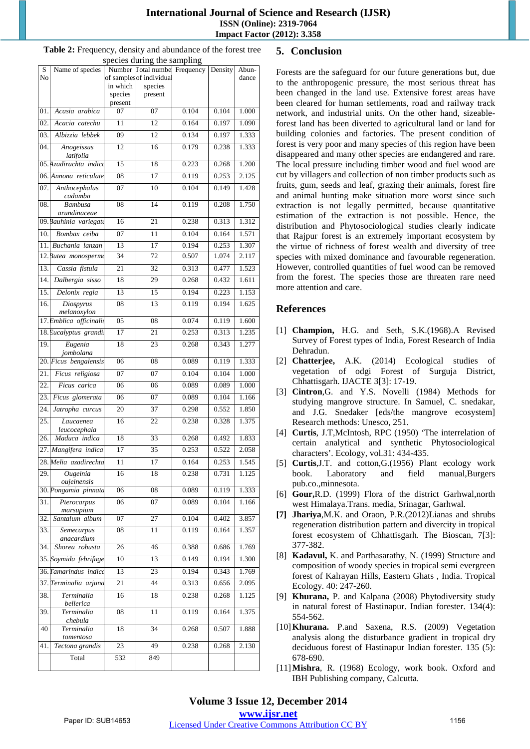#### **International Journal of Science and Research (IJSR) ISSN (Online): 2319-7064 Impact Factor (2012): 3.358**

|                   |                                        |                 | rocios uming the sumpling                                 |       |         |                |
|-------------------|----------------------------------------|-----------------|-----------------------------------------------------------|-------|---------|----------------|
| S<br>No           | Name of species                        |                 | Number Total number Frequency<br>of samples of individual |       | Density | Abun-<br>dance |
|                   |                                        | in which        | species                                                   |       |         |                |
|                   |                                        | species         | present                                                   |       |         |                |
| 01.               | Acasia arabica                         | present<br>07   | 07                                                        | 0.104 | 0.104   | 1.000          |
| 02.               | Acacia catechu                         | 11              | 12                                                        | 0.164 | 0.197   | 1.090          |
|                   |                                        | $\overline{09}$ | $\overline{12}$                                           |       |         |                |
| 03.               | Albizzia lebbek                        |                 |                                                           | 0.134 | 0.197   | 1.333          |
| 04.               | Anogeissus<br>latifolia                | 12              | 16                                                        | 0.179 | 0.238   | 1.333          |
|                   | 05. Azadirachta indice                 | 15              | 18                                                        | 0.223 | 0.268   | 1.200          |
|                   | 06. Annona reticulate                  | 08              | $\overline{17}$                                           | 0.119 | 0.253   | 2.125          |
| 07.               | Anthocephalus                          | 07              | 10                                                        | 0.104 | 0.149   | 1.428          |
|                   | cadamba                                |                 |                                                           |       |         |                |
| 08.               | <b>Bambusa</b>                         | 08              | 14                                                        | 0.119 | 0.208   | 1.750          |
|                   | arundinaceae<br>09. Bauhinia variegate | 16              | 21                                                        | 0.238 | 0.313   | 1.312          |
| 10.               | Bombax ceiba                           | 07              | 11                                                        | 0.104 | 0.164   | 1.571          |
| 11.               | Buchania lanzan                        | 13              | 17                                                        | 0.194 | 0.253   | 1.307          |
|                   | 12. Butea monosperme                   | 34              | 72                                                        | 0.507 | 1.074   | 2.117          |
| 13.               |                                        | $\overline{21}$ | 32                                                        | 0.313 | 0.477   | 1.523          |
| 14.               | Cassia fistula                         | 18              |                                                           | 0.268 | 0.432   | 1.611          |
|                   | Dalbergia sisso                        |                 | 29                                                        |       |         |                |
| 15.               | Delonix regia                          | 13              | 15                                                        | 0.194 | 0.223   | 1.153          |
| 16.               | Diospyrus<br>melanoxylon               | 08              | 13                                                        | 0.119 | 0.194   | 1.625          |
|                   | 17. Emblica officinalis                | 05              | 08                                                        | 0.074 | 0.119   | 1.600          |
|                   | 18. Eucalyptus grandi.                 | $\overline{17}$ | $\overline{21}$                                           | 0.253 | 0.313   | 1.235          |
| 19.               | Eugenia                                | 18              | 23                                                        | 0.268 | 0.343   | 1.277          |
|                   | jombolana                              |                 |                                                           |       |         |                |
|                   | 20. Ficus bengalensis                  | 06              | 08                                                        | 0.089 | 0.119   | 1.333          |
| 21.               | Ficus religiosa                        | 07              | 07                                                        | 0.104 | 0.104   | 1.000          |
| $\overline{22}$   | Ficus carica                           | 06              | 06                                                        | 0.089 | 0.089   | 1.000          |
| 23.               | Ficus glomerata                        | 06              | 07                                                        | 0.089 | 0.104   | 1.166          |
| 24.               | Jatropha curcus                        | 20              | 37                                                        | 0.298 | 0.552   | 1.850          |
| 25.               | Laucaenea                              | 16              | 22                                                        | 0.238 | 0.328   | 1.375          |
| 26.               | leucocephala<br>Maduca indica          | 18              | 33                                                        | 0.268 | 0.492   | 1.833          |
| $\overline{27}$ . | Mangifera indica                       | $\overline{17}$ | 35                                                        | 0.253 | 0.522   | 2.058          |
|                   | 28. Melia azadirechta                  | $\overline{11}$ | 17                                                        | 0.164 | 0.253   | 1.545          |
| 29.               | Ougeinia                               |                 | 18                                                        | 0.238 |         | 1.125          |
|                   | oujeinensis                            | 16              |                                                           |       | 0.731   |                |
|                   | 30. Pongamia pinnata                   | 06              | ${\bf 08}$                                                | 0.089 | 0.119   | 1.333          |
| 31.               | Pterocarpus                            | 06              | 07                                                        | 0.089 | 0.104   | 1.166          |
| $\overline{32}$ . | marsupium<br>Santalum album            | 07              | 27                                                        | 0.104 | 0.402   | 3.857          |
| 33.               | Semecarpus                             | 08              | 11                                                        | 0.119 | 0.164   | 1.357          |
|                   | anacardium                             |                 |                                                           |       |         |                |
| 34.               | Shorea robusta                         | 26              | 46                                                        | 0.388 | 0.686   | 1.769          |
|                   | 35. Soymida febrifuge                  | 10              | 13                                                        | 0.149 | 0.194   | 1.300          |
|                   | 36. Tamarindus indice                  | 13              | 23                                                        | 0.194 | 0.343   | 1.769          |
| 37.               | Terminalia arjuna                      | 21              | 44                                                        | 0.313 | 0.656   | 2.095          |
| 38.               | Terminalia                             | 16              | 18                                                        | 0.238 | 0.268   | 1.125          |
|                   | bellerica                              |                 |                                                           |       |         |                |
| 39.               | Terminalia<br>chebula                  | 08              | 11                                                        | 0.119 | 0.164   | 1.375          |
| 40                | Terminalia                             | 18              | 34                                                        | 0.268 | 0.507   | 1.888          |
|                   | tomentosa                              |                 |                                                           |       |         |                |
| 41.               | Tectona grandis                        | 23              | 49                                                        | 0.238 | 0.268   | 2.130          |
|                   | Total                                  | 532             | 849                                                       |       |         |                |

#### **Table 2:** Frequency, density and abundance of the forest tree species during the sampling

# **5. Conclusion**

Forests are the safeguard for our future generations but, due to the anthropogenic pressure, the most serious threat has been changed in the land use. Extensive forest areas have been cleared for human settlements, road and railway track network, and industrial units. On the other hand, sizeableforest land has been diverted to agricultural land or land for building colonies and factories. The present condition of forest is very poor and many species of this region have been disappeared and many other species are endangered and rare. The local pressure including timber wood and fuel wood are cut by villagers and collection of non timber products such as fruits, gum, seeds and leaf, grazing their animals, forest fire and animal hunting make situation more worst since such extraction is not legally permitted, because quantitative estimation of the extraction is not possible. Hence, the distribution and Phytosociological studies clearly indicate that Rajpur forest is an extremely important ecosystem by the virtue of richness of forest wealth and diversity of tree species with mixed dominance and favourable regeneration. However, controlled quantities of fuel wood can be removed from the forest. The species those are threaten rare need more attention and care.

# **References**

- [1] **Champion,** H.G. and Seth, S.K.(1968).A Revised Survey of Forest types of India, Forest Research of India Dehradun.
- [2] **Chatterjee,** A.K. (2014) Ecological studies of vegetation of odgi Forest of Surguja District, Chhattisgarh. IJACTE 3[3]: 17-19.
- [3] **Cintron**,G. and Y.S. Novelli (1984) Methods for studying mangrove structure. In Samuel, C. snedakar, and J.G. Snedaker [eds/the mangrove ecosystem] Research methods: Unesco, 251.
- [4] **Curtis**, J.T,McIntosh, RPC (1950) 'The interrelation of certain analytical and synthetic Phytosociological characters'. Ecology, vol.31: 434-435.
- [5] **Curtis**,J.T. and cotton,G.(1956) Plant ecology work book. Laboratory and field manual,Burgers pub.co.,minnesota.
- [6] **Gour,**R.D. (1999) Flora of the district Garhwal,north west Himalaya.Trans. media, Srinagar, Garhwal.
- **[7] Jhariya**,M.K. and Oraon, P.R.(2012)Lianas and shrubs regeneration distribution pattern and divercity in tropical forest ecosystem of Chhattisgarh. The Bioscan, 7[3]: 377-382.
- [8] **Kadavul,** K. and Parthasarathy, N. (1999) Structure and composition of woody species in tropical semi evergreen forest of Kalrayan Hills, Eastern Ghats , India. Tropical Ecology. 40: 247-260.
- [9] **Khurana,** P. and Kalpana (2008) Phytodiversity study in natural forest of Hastinapur. Indian forester. 134(4): 554-562.
- [10]**Khurana.** P.and Saxena, R.S. (2009) Vegetation analysis along the disturbance gradient in tropical dry deciduous forest of Hastinapur Indian forester. 135 (5): 678-690.
- [11]**Mishra**, R. (1968) Ecology, work book. Oxford and IBH Publishing company, Calcutta.